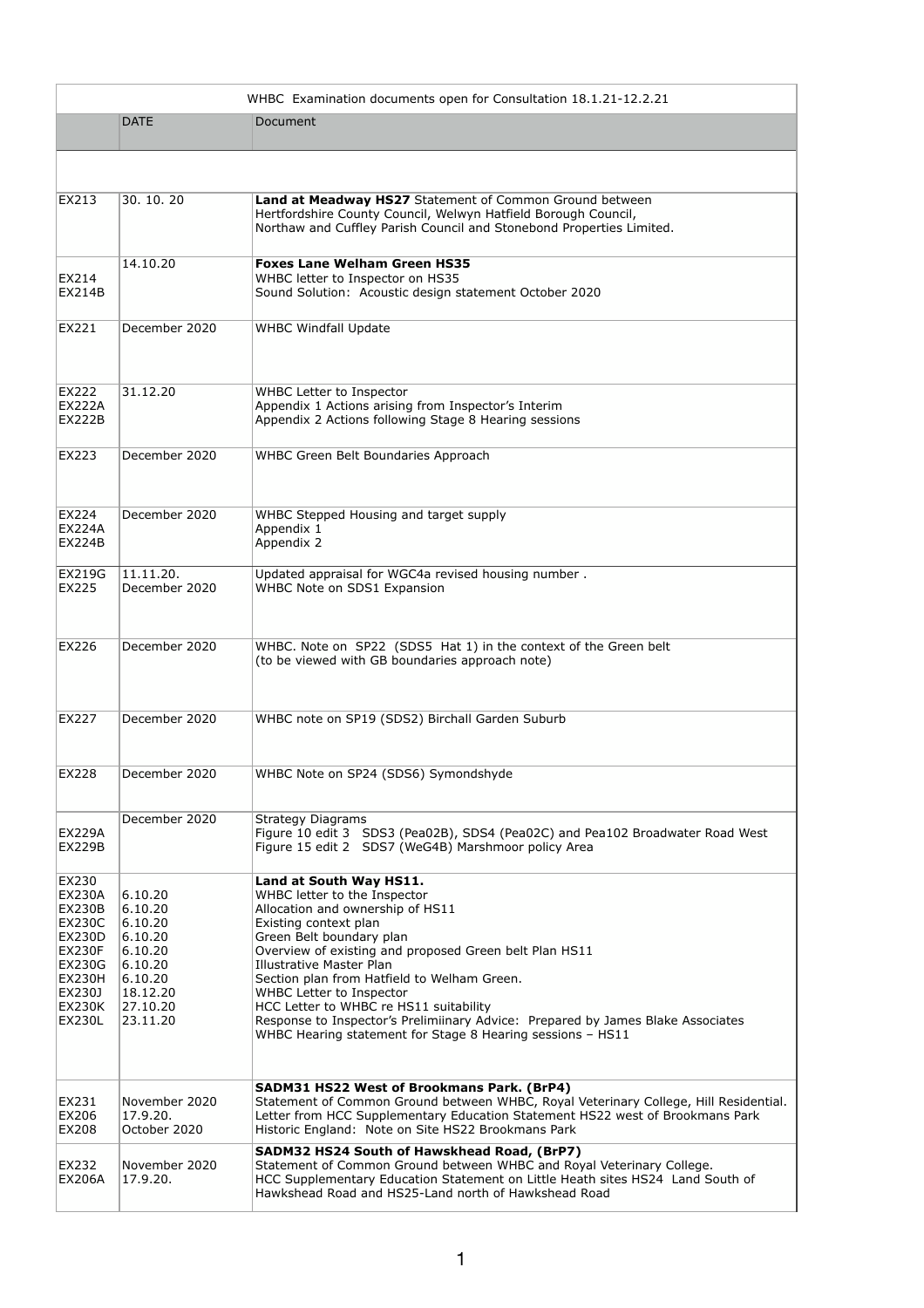| WHBC Examination documents open for Consultation 18.1.21-12.2.21                                                                                                         |                                                                                                               |                                                                                                                                                                                                                                                                                                                                                                                                                                                                                                                     |  |
|--------------------------------------------------------------------------------------------------------------------------------------------------------------------------|---------------------------------------------------------------------------------------------------------------|---------------------------------------------------------------------------------------------------------------------------------------------------------------------------------------------------------------------------------------------------------------------------------------------------------------------------------------------------------------------------------------------------------------------------------------------------------------------------------------------------------------------|--|
|                                                                                                                                                                          | <b>DATE</b>                                                                                                   | Document                                                                                                                                                                                                                                                                                                                                                                                                                                                                                                            |  |
|                                                                                                                                                                          |                                                                                                               |                                                                                                                                                                                                                                                                                                                                                                                                                                                                                                                     |  |
| EX213                                                                                                                                                                    | 30.10.20                                                                                                      | Land at Meadway HS27 Statement of Common Ground between<br>Hertfordshire County Council, Welwyn Hatfield Borough Council,<br>Northaw and Cuffley Parish Council and Stonebond Properties Limited.                                                                                                                                                                                                                                                                                                                   |  |
| EX214<br><b>EX214B</b>                                                                                                                                                   | 14.10.20                                                                                                      | <b>Foxes Lane Welham Green HS35</b><br>WHBC letter to Inspector on HS35<br>Sound Solution: Acoustic design statement October 2020                                                                                                                                                                                                                                                                                                                                                                                   |  |
| EX221                                                                                                                                                                    | December 2020                                                                                                 | <b>WHBC Windfall Update</b>                                                                                                                                                                                                                                                                                                                                                                                                                                                                                         |  |
| EX222<br><b>EX222A</b><br><b>EX222B</b>                                                                                                                                  | 31.12.20                                                                                                      | <b>WHBC Letter to Inspector</b><br>Appendix 1 Actions arising from Inspector's Interim<br>Appendix 2 Actions following Stage 8 Hearing sessions                                                                                                                                                                                                                                                                                                                                                                     |  |
| EX223                                                                                                                                                                    | December 2020                                                                                                 | <b>WHBC Green Belt Boundaries Approach</b>                                                                                                                                                                                                                                                                                                                                                                                                                                                                          |  |
| EX224<br><b>EX224A</b><br><b>EX224B</b>                                                                                                                                  | December 2020                                                                                                 | WHBC Stepped Housing and target supply<br>Appendix 1<br>Appendix 2                                                                                                                                                                                                                                                                                                                                                                                                                                                  |  |
| <b>EX219G</b><br>EX225                                                                                                                                                   | 11.11.20.<br>December 2020                                                                                    | Updated appraisal for WGC4a revised housing number.<br>WHBC Note on SDS1 Expansion                                                                                                                                                                                                                                                                                                                                                                                                                                  |  |
| <b>EX226</b>                                                                                                                                                             | December 2020                                                                                                 | WHBC. Note on SP22 (SDS5 Hat 1) in the context of the Green belt<br>(to be viewed with GB boundaries approach note)                                                                                                                                                                                                                                                                                                                                                                                                 |  |
| EX227                                                                                                                                                                    | December 2020                                                                                                 | WHBC note on SP19 (SDS2) Birchall Garden Suburb                                                                                                                                                                                                                                                                                                                                                                                                                                                                     |  |
| EX228                                                                                                                                                                    | December 2020                                                                                                 | WHBC Note on SP24 (SDS6) Symondshyde                                                                                                                                                                                                                                                                                                                                                                                                                                                                                |  |
| <b>EX229A</b><br><b>EX229B</b>                                                                                                                                           | December 2020                                                                                                 | <b>Strategy Diagrams</b><br>Figure 10 edit 3 SDS3 (Pea02B), SDS4 (Pea02C) and Pea102 Broadwater Road West<br>Figure 15 edit 2 SDS7 (WeG4B) Marshmoor policy Area                                                                                                                                                                                                                                                                                                                                                    |  |
| EX230<br><b>EX230A</b><br><b>EX230B</b><br><b>EX230C</b><br><b>EX230D</b><br><b>EX230F</b><br><b>EX230G</b><br><b>EX230H</b><br>EX230J<br><b>EX230K</b><br><b>EX230L</b> | 6.10.20<br>6.10.20<br>6.10.20<br>6.10.20<br>6.10.20<br>6.10.20<br>6.10.20<br>18.12.20<br>27.10.20<br>23.11.20 | Land at South Way HS11.<br>WHBC letter to the Inspector<br>Allocation and ownership of HS11<br>Existing context plan<br>Green Belt boundary plan<br>Overview of existing and proposed Green belt Plan HS11<br><b>Illustrative Master Plan</b><br>Section plan from Hatfield to Welham Green.<br>WHBC Letter to Inspector<br>HCC Letter to WHBC re HS11 suitability<br>Response to Inspector's Prelimiinary Advice: Prepared by James Blake Associates<br>WHBC Hearing statement for Stage 8 Hearing sessions - HS11 |  |
| EX231<br>EX206<br><b>EX208</b>                                                                                                                                           | November 2020<br>17.9.20.<br>October 2020                                                                     | SADM31 HS22 West of Brookmans Park. (BrP4)<br>Statement of Common Ground between WHBC, Royal Veterinary College, Hill Residential.<br>Letter from HCC Supplementary Education Statement HS22 west of Brookmans Park<br>Historic England: Note on Site HS22 Brookmans Park                                                                                                                                                                                                                                           |  |
| EX232<br><b>EX206A</b>                                                                                                                                                   | November 2020<br>17.9.20.                                                                                     | SADM32 HS24 South of Hawskhead Road, (BrP7)<br>Statement of Common Ground between WHBC and Royal Veterinary College.<br>HCC Supplementary Education Statement on Little Heath sites HS24 Land South of<br>Hawkshead Road and HS25-Land north of Hawkshead Road                                                                                                                                                                                                                                                      |  |

1